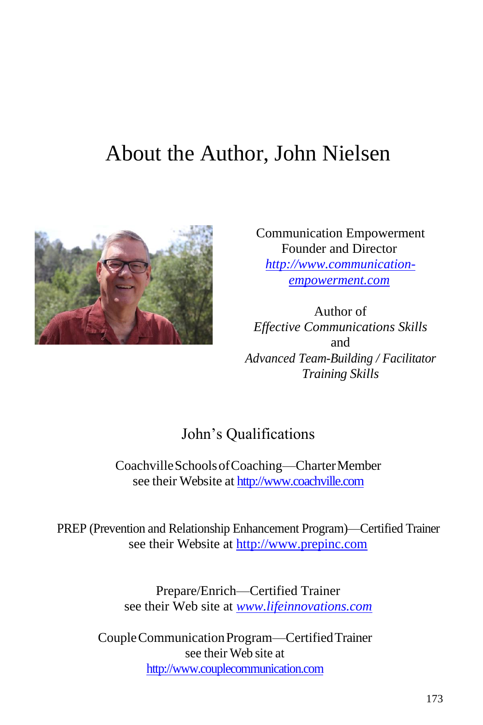# About the Author, John Nielsen



Communication Empowerment Founder and Director *[http://www.communication](http://www.communication-empowerment.com/)[empowerment.com](http://www.communication-empowerment.com/)*

Author of *Effective Communications Skills* and *Advanced Team-Building / Facilitator Training Skills*

### John's Qualifications

CoachvilleSchoolsofCoaching—CharterMember see their Website at [http://www.coachville.com](http://www.coachville.com/)

PREP (Prevention and Relationship Enhancement Program)—Certified Trainer see their Website at [http://www.prepinc.com](http://www.prepinc.com/)

> Prepare/Enrich—Certified Trainer see their Web site at *[www.lifeinnovations.com](http://www.lifeinnovations.com/)*

CoupleCommunicationProgram—CertifiedTrainer see their Web site at [http://www.couplecommunication.com](http://www.couplecommunication.com/)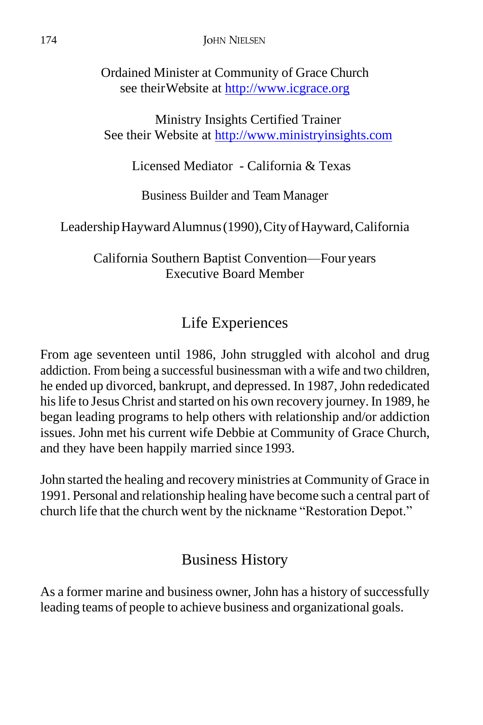Ordained Minister at Community of Grace Church see their Website at [http://www.icgrace.org](http://www.icgrace.org/)

Ministry Insights Certified Trainer See their Website at [http://www.ministryinsights.com](http://www.ministryinsights.com/)

Licensed Mediator - California & Texas

Business Builder and Team Manager

LeadershipHaywardAlumnus(1990),CityofHayward,California

California Southern Baptist Convention—Four years Executive Board Member

# Life Experiences

From age seventeen until 1986, John struggled with alcohol and drug addiction. From being a successful businessman with a wife and two children, he ended up divorced, bankrupt, and depressed. In 1987, John rededicated hislife to Jesus Christ and started on his own recovery journey.In 1989, he began leading programs to help others with relationship and/or addiction issues. John met his current wife Debbie at Community of Grace Church, and they have been happily married since 1993.

John started the healing and recovery ministries at Community of Grace in 1991. Personal and relationship healing have become such a central part of church life that the church went by the nickname "Restoration Depot."

## Business History

As a former marine and business owner, John has a history of successfully leading teams of people to achieve business and organizational goals.